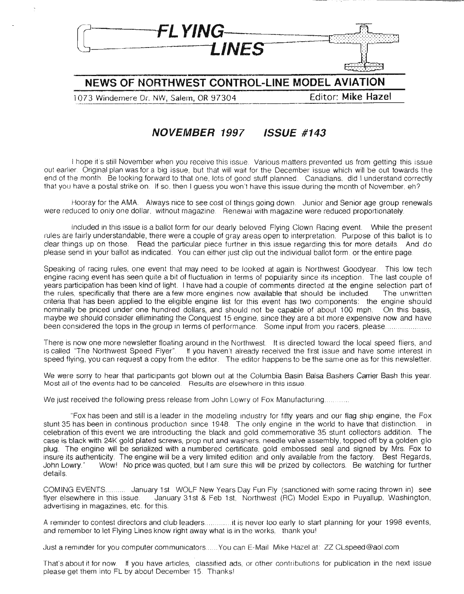

. **NEWS OF NORTHWEST CONTROL-LINE MODEL AVIATION**

1073 Windemere Dr. NW, Salem, OR 97304 Editor: **Mike Hazel**

#### **NOVEMBER 1997 ISSUE #143**

I hope it's still November when you receive this issue. Various matters prevented us from getting this issue out earlier. Original plan was for a big issue, but that will wait for the December issue which will be out towards the end of the month. Be looking forward to that one, lots of good stuff planned. Canadians, did I understand correctly that you have a postal strike on. If so. then I guess you won't have this issue during the month of November, eh?

Hooray for the AMA. Always nice to see cost of things going down. Junior and Senior age group renewals were reduced to only one dollar, without magazine. Renewal with magazine were reduced proportionately.

Included in this issue is a ballot form for our dearly beloved Flying Clown Racing event. While the present rules are fairly understandable, there were a couple of gray areas open to interpretation. Purpose of this ballot is to clear things up on those. Read the particular piece further in this issue regarding this for more details. And do please send in your ballot as indicated. You can either just clip out the individual ballot form. or the entire page

Speaking of racing rules, one event that may need to be looked at again is Northwest Goodyear. This low tech engine racing event has seen quite a bit of fluctuation in terms of popularity since its inception. The last couple of years participation has been kind of light. I have had a couple of comments directed at the engine selection part of the rules, specifically that there are a few more engines now available that should be included. The unwritten criteria that has been applied to the eligible engine list for this event has two components: the engine should nominally be priced under one hundred dollars, and should not be capable of about 100 mph. On this basis, maybe we should consider elliminating the Conquest 15 engine, since they are a bit more expensive now and have been considered the tops in the group in terms of performance Some input from you racers, please..

There is now one more newsletter floating around in the Northwest. It is directed toward the local speed fliers, and is called "The Northwest Speed Flyer". If you haven't already received the first issue and have some interest in speed flying, you can request a copy from the editor. The editor happens to be the same one as for this newsletter.

We were sorry to hear that participants got blown out at the Columbia Basin Balsa Bashers Carrier Bash this year. Most all of the events had to be canceled. Results are elsewhere in this issue

We just received the following press release from John Lowry of Fox Manufacturing............

"Fox has been and still is a leader in the modeling industry for fifty years and our flag ship engine, the Fox stunt 35 has been in continous production since 1948. The only engine in the world to have that distinction. In celebration of this event we are introducting the black and gold commemorative 35 stunt collectors addition The case is black with 24K gold plated screws, prop nut and washers, needle valve assembly, topped off by a golden glo plug. The engine will be serialized with a numbered certificate, gold embossed seal and signed by Mrs. Fox to insure its authenticity. The engine will be a very limited edition and only available from the factory. Best Regards, John Lowry." Wow! No price was quoted, but I am sure this will be prized by collectors. Be watching for further details.

COMING EVENTS.......... January 1st WOLF New Years Day Fun Fly (sanctioned with some racing thrown in) see flyer elsewhere in this issue. January 31st & Feb 1st, Northwest (RC) Model Expo in Puyallup, Washington, advertising in magazines, etc. for this

A reminder to contest directors and club leaders............it is never too early to start planning for your 1998 events, and remember to let Flying Lines know right away what is in the works, thank you!

Just a reminder for you computer communicators ...... You can E-Mail Mike Hazel at: ZZ CLspeed@aol.com

That's about it for now If you have articles, classified ads, or other contributions for publication in the next issue please get them into FL by about December 15. Thanks!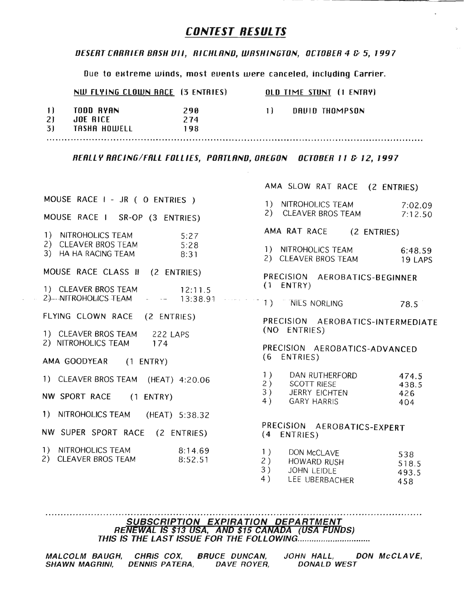#### CONTEST RESULTS

#### *DESERT CRRRIER BIlSH IJII, RICHLIlNO, WIlSHINGTON, OCTOBER* 4 c- 5, 1997

Due to extreme winds, most events were canceled, including Carrier.

|    | NW FLYING CLOWN RACE (3 ENTRIES) |     | <b>OLD TIME STUNT (1 ENTRY)</b> |                |  |
|----|----------------------------------|-----|---------------------------------|----------------|--|
| 11 | TODD RYAN                        | 290 | -11 -                           | DAUID THOMPSON |  |
| 2) | JOE BICE                         | 274 |                                 |                |  |
| 3) | TASHA HOWELL                     | 198 |                                 |                |  |
|    |                                  |     |                                 |                |  |

*REIlLL Y RIlCING/FRLL FOLLIES, PORTLIlNO, OREGON OCTOBER* 11 c- 12, 1997

| MOUSE RACE I - JR ( O ENTRIES )                                             |
|-----------------------------------------------------------------------------|
| MOUSE RACE I SR-OP (3 ENTRIES)                                              |
| 1) NITROHOLICS TEAM<br>2) CLEAVER BROS TEAM<br>3) HA HA RACING TEAM<br>8:31 |
| MOUSE RACE CLASS II (2 ENTRIES)                                             |
| 1) CLEAVER BROS TEAM 12:11.5<br>2) NITROHOLICS TEAM - - 13:38.91            |
| FLYING CLOWN RACE (2 ENTRIES)                                               |
| 1) CLEAVER BROS TEAM 222 LAPS<br>2) NITROHOLICS TEAM 174                    |
| AMA GOODYEAR (1 ENTRY)                                                      |
| 1) CLEAVER BROS TEAM (HEAT) 4:20.06                                         |
| NW SPORT RACE (1 ENTRY)                                                     |
| 1) NITROHOLICS TEAM (HEAT) 5:38.32                                          |
| NW SUPER SPORT RACE (2 ENTRIES)                                             |
|                                                                             |

2) CLEAVER BROS TEAM 7:12.50 AMA RAT RACE (2 ENTRIES) 1) NITROHOLICS TEAM 6:48.59 2) CLEAVER BROS TEAM 19 LAPS PRECISION AEROBATICS-BEGINNER (1 ENTRY) MES NORLING 78.5 PRECISION AEROBATICS-INTERMEDIATE (NO ENTRIES)

AMA SLOW RAT RACE (2 ENTRIES)

7:02.09

1) N/TROHOLICS TEAM

PRECISION AEROBATICS-ADVANCED (6 ENTRIES)

| 1) | DAN RUTHERFORD     | 474.5 |
|----|--------------------|-------|
| 2) | <b>SCOTT RIESE</b> | 438.5 |
| 3) | JERRY EICHTEN      | 426   |
| 4) | <b>GARY HARRIS</b> | 404   |

PRECISION AEROBATICS-EXPERT (4 ENTRIES)

| 1)     | DON MCCLAVE | 538   |
|--------|-------------|-------|
| 2)     | HOWARD RUSH | 518.5 |
| 3)     | JOHN LEIDLE | 493.5 |
| $\sim$ |             |       |

4) LEE UBERBACHER 458

SUBSCRIPTION EXPIRATION DEPARTMENT RENEWAL IS \$13 USA, AND \$15 CANADA (USA FONDS) THIS IS THE LAST ISSUE FOR THE FOLLOWiNG .

| MALCOLM BAUGH, CHRIS COX, |                | <b>BRUCE DUNCAN.</b> | JOHN HALL.         | DON McCLAVE, |
|---------------------------|----------------|----------------------|--------------------|--------------|
| <b>SHAWN MAGRINI.</b>     | DENNIS PATERA. | DAVE ROYER.          | <b>DONALD WEST</b> |              |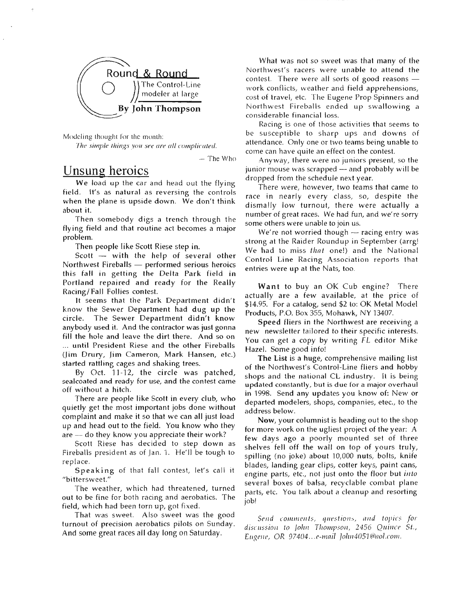

Modeling thought for the month: The simple things you see are all complicated.

 $-$  The Who

### Unsung heroics

We load up the car and head out the flying field. It's as natural as reversing the controls when the plane is upside down. We don't think about it.

Then somebody digs a trench through the flying field and that routine act becomes a major problem.

Then people like Scott Riese step in.

Scott  $-$  with the help of several other Northwest Fireballs  $-$  performed serious heroics this fall in getting the Delta Park field in Portland repaired and ready for the Really Racing/ Fall Follies contest.

It seems that the Park Department didn't know the Sewer Department had dug up the circle. The Sewer Department didn't know anybody used it. And the contractor was just gonna fill the hole and leave the dirt there. And so on ... until President Riese and the other Fireballs (Jim Drury, Jim Cameron, Mark Hansen, etc.) started rattling cages and shaking trees.

By Oct. 11-12, the circle was patched, sealcoated and ready for use, and the contest came off without a hitch.

There are people like Scott in every club, who quietly get the most important jobs done without complaint and make it so that we can all just load up and head out to the field. You know who they are - do they know you appreciate their work?

Scott Riese has decided to step down as Fireballs president as of Jan. 1. He'll be tough to replace.

Speaking of that fall contest, let's call it "bittersweet."

The weather, which had threatened, turned out to be fine for both racing and aerobatics. The field, which had been torn up, got fixed.

That was sweet. Also sweet was the good turnout of precision aerobatics pilots on Sunday. And some great races all day long on Saturday.

What was not so sweet was that many of the Northwest's racers were unable to attend the contest. There were all sorts of good reasons  $$ work conflicts, weather and field apprehensions, cost of travel, etc. The Eugene Prop Spinners and Northwest Fireballs ended up swallowing a considerable financial loss.

Racing is one of those activities that seems to be susceptible to sharp ups and downs of attendance. Only one or two teams being unable to come can have quite an effect on the contest.

Anyway, there were no juniors present, so the junior mouse was scrapped - and probably will be dropped from the schedule next year.

There were, however, two teams that came to race in nearly every class, so, despite the dismally low turnout, there were actually a number of great races. We had fun, and we're sorry some others were unable to join us.

We're not worried though  $-$  racing entry was strong at the Raider Roundup in September (arrg! We had to miss *that* one!) and the National Control Line Racing Association reports that entries were up at the Nats, too.

Want to buy an OK Cub engine? There actually are a few available, at the price of \$14.95. For a catalog, send \$2 to: OK Metal Model Products, P.O. Box 355, Mohawk, NY 13407.

Speed fliers in the Northwest are receiving a new newsletter tailored to their specific interests. You can get a copy by writing FL editor Mike Hazel. Some good info!

The List is a huge, comprehensive mailing list of the Northwest's Control-Line fliers and hobby shops and the national CL industry. It is being updated constantly, but is due for a major overhaul in 1998. Send any updates you know of: New or departed modelers, shops, companies, etec., to the address below.

Now, your columnist is heading out to the shop for more work on the ugliest project of the year: A few days ago a poorly mounted set of three shelves fell off the wall on top of yours truly, spilling (no joke) about 10,000 nuts, bolts, knife blades, landing gear clips, cotter keys, paint cans, engine parts, etc., not just onto the floor but *into* several boxes of balsa, recyclable combat plane parts, etc. You talk about a cleanup and resorting job!

Send comments, questions, and topics for discussion to John Thompson, 2456 Quince St., Eugene, OR 97404...e-mail *Jolin4051@aol.com.*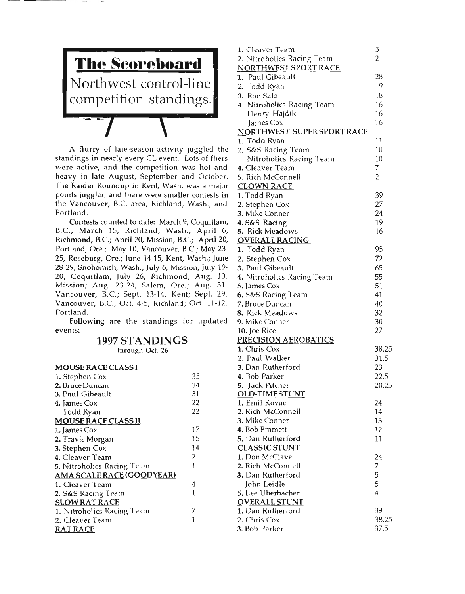

A flurry of late-season activity juggled the standings in nearly every CL event. Lots of fliers were active, and the competition was hot and heavy in late August, September and October. The Raider Roundup in Kent, Wash. was a major points juggler, and there were smaller contests in the Vancouver, B.C area, Richland, Wash., and Portland.

Contests counted to date: March 9, Coquitlam, B.C.; March 15, Richland, Wash.; April 6, Richmond, B.C; April 20, Mission, B.C.; April 20, Portland, Ore.; May 10, Vancouver, B.C; May 23- 25, Roseburg, Ore.; June 14-15, Kent, Wash.; June 28-29, Snohomish, Wash.; July 6, Mission; July 19- 20, Coquitlam; July 26, Richmond; Aug. 10, Mission; Aug. 23-24, Salem, Ore.; Aug. 31, Vancouver, B.C; Sept. 13-14, Kent; Sept. 29, Vancouver, B.C; Oct. 4-5, Richland; Oct. 11-12, Portland.

Following are the standings for updated events:

#### **1997 STANDINGS**

through Oct. 26

| <b>MOUSE RACE CLASS I</b>  |    |
|----------------------------|----|
| 1. Stephen Cox             | 35 |
| 2. Bruce Duncan            | 34 |
| 3. Paul Gibeault           | 31 |
| 4. James Cox               | 22 |
| Todd Ryan                  | 22 |
| <b>MOUSE RACE CLASS II</b> |    |
| 1. James Cox               | 17 |
| 2. Travis Morgan           | 15 |
| 3. Stephen Cox             | 14 |
| 4. Cleaver Team            | 2  |
| 5. Nitroholics Racing Team | 1  |
| AMA SCALE RACE (GOODYEAR)  |    |
| 1. Cleaver Team            | 4  |
| 2. S&S Racing Team         | 1  |
| <b>SLOW RAT RACE</b>       |    |
| 1. Nitroholics Racing Team |    |
| 2. Cleaver Team            |    |
| <b>RAT RACE</b>            |    |

| 1. Cleaver Team                               | 3              |
|-----------------------------------------------|----------------|
| 2. Nitroholics Racing Team                    | $\overline{2}$ |
| NORTHWEST SPORT RACE                          |                |
| 1. Paul Gibeault                              | 28             |
| 2. Todd Ryan                                  | 19             |
| 3. Ron Salo                                   | 18             |
| 4. Nitroholics Racing Team                    | 16             |
| Henry Hajdik                                  | 16             |
| James Cox                                     | 16             |
| NORTHWEST SUPER SPORT RACE                    |                |
| 1. Todd Ryan                                  | 11             |
|                                               | 10             |
| 2. S&S Racing Team<br>Nitroholics Racing Team | 10             |
| 4. Cleaver Team                               | 7              |
|                                               | 2              |
| 5. Rich McConnell                             |                |
| <b>CLOWN RACE</b>                             |                |
| 1. Todd Ryan                                  | 39             |
| 2. Stephen Cox                                | 27             |
| 3. Mike Conner                                | 24             |
| 4. S&S Racing                                 | 19             |
| 5. Rick Meadows                               | 16             |
| <u>OVERALL RACING</u>                         |                |
| 1. Todd Ryan                                  | 95             |
| 2. Stephen Cox                                | 72             |
| 3. Paul Gibeault                              | 65             |
| 4. Nitroholics Racing Team                    | 55             |
| <b>5. James Cox</b>                           | 51             |
| 6. S&S Racing Team                            | 41             |
| 7. Bruce Duncan                               | 40             |
| 8. Rick Meadows                               | 32             |
| 9. Mike Conner                                | 30             |
| 10. Joe Rice                                  | 27             |
| <b>PRECISION AEROBATICS</b>                   |                |
| 1. Chris Cox                                  | 38.25          |
| 2. Paul Walker                                | 31.5           |
| 3. Dan Rutherford                             | 23             |
| 4. Bob Parker                                 | 22.5           |
| 5. Jack Pitcher                               | 20.25          |
| <b>OLD-TIMESTUNT</b>                          |                |
| 1. Emil Kovac                                 | 24             |
| 2. Rich McConnell                             | 14             |
| 3. Mike Conner                                | 13             |
| 4. Bob Emmett                                 | 12             |
| 5. Dan Rutherford                             | 11             |
| <b>CLASSIC STUNT</b>                          |                |
| 1. Don McClave                                | 24             |
| 2. Rich McConnell                             | 7              |
| 3. Dan Rutherford                             | 5              |
| John Leidle                                   | 5              |
| 5. Lee Uberbacher                             | 4              |
| <b>OVERALL STUNT</b>                          |                |
| 1. Dan Rutherford                             | 39             |
| 2. Chris Cox                                  | 38.25          |
| 3. Bob Parker                                 | 37.5           |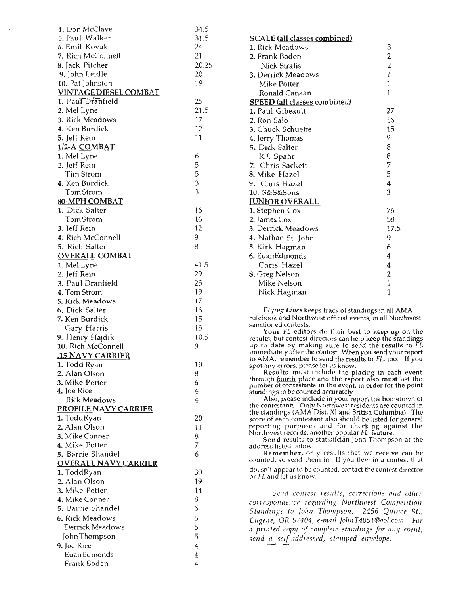| 4. Don McClave                | 34.5           |
|-------------------------------|----------------|
| 5. Paul Walker                | 31.5           |
| 6. Emil Kovak                 | 24             |
| 7. Rich McConnell             | 21             |
| 8. Jack Pitcher               | 20.25          |
| 9. John Leidle                | 20             |
| 10. Pat Johnston              | 19             |
| <b>VINTAGE DIESEL COMBAT</b>  |                |
| 1. Paul Dranfield             | 25             |
| 2. Mel Lyne                   | 21.5           |
| 3. Rick Meadows               | 17             |
| 4. Ken Burdick                | 12             |
| 5. Jeff Rein                  | 11             |
|                               |                |
| 1/2-A COMBAT                  |                |
| 1. Mel Lyne                   | 6              |
| 2. Jeff Rein                  | 5              |
| Tim Strom                     | 5              |
| 4. Ken Burdick                | 3              |
| Tom Strom                     | 3              |
| 80-MPH COMBAT                 |                |
| 1. Dick Salter                | 16             |
| Tom Strom                     | 16             |
| 3. Jeff Rein                  | 12             |
| 4. Rich McConnell             | 9              |
| 5. Rich Salter                | 8              |
| <b>OVERALL COMBAT</b>         |                |
| 1. Mel Lyne                   | 41.5           |
| 2. Jeff Rein                  | 29             |
| 3. Paul Dranfield             | 25             |
| 4. Tom Strom                  | 19             |
| 5. Rick Meadows               | 17             |
| 6. Dick Salter                | 16             |
| 7. Ken Burdick                | 15             |
| Gary Harris                   | 15             |
| 9. Henry Hajdik               | 10.5           |
| 10. Rich McConnell            | 9              |
| .15 NAVY CARRIER              |                |
|                               | 10             |
| 1. Todd Ryan<br>2. Alan Olson | 8              |
| 3. Mike Potter                | 6              |
|                               | 4              |
| 4. Joe Rice                   | 4              |
| <b>Rick Meadows</b>           |                |
| <b>PROFILE NAVY CARRIER</b>   |                |
| 1. ToddRyan                   | 20             |
| 2. Alan Olson                 | 11             |
| 3. Mike Conner                | 8              |
| 4. Mike Potter                | 7              |
| 5. Barrie Shandel             | 6              |
| <u>OVERALL NAVY CARRIER</u>   |                |
| 1. ToddRyan                   | 30             |
| 2. Alan Olson                 | 19             |
| 3. Mike Potter                | 14             |
| 4. Mike Conner                | 8              |
| 5. Barrie Shandel             | 6              |
| 6. Rick Meadows               | 5              |
| Derrick Meadows               | 5              |
| John Thompson                 | 5              |
|                               | $\overline{4}$ |
| 9. Joe Rice<br>EuanEdmonds    | $\overline{4}$ |
|                               |                |
| Frank Boden                   | 4              |

| <b>SCALE</b> (all classes combined) |                |
|-------------------------------------|----------------|
| 1. Rick Meadows                     | 3              |
| 2. Frank Boden                      | $\overline{c}$ |
| Nick Stratis                        | $\overline{c}$ |
| 3. Derrick Meadows                  | $\mathbbm{1}$  |
| Mike Potter                         | $\mathbf{1}$   |
| Ronald Canaan                       | 1              |
| <b>SPEED</b> (all classes combined) |                |
| 1. Paul Gibeault                    | 27             |
| 2. Ron Salo                         | 16             |
| 3. Chuck Schuette                   | 15             |
| 4. Jerry Thomas                     | 9              |
| 5. Dick Salter                      | 8              |
| R.J. Spahr                          | 8              |
| 7. Chris Sackett                    | 7              |
| 8. Mike Hazel                       | 5              |
| 9. Chris Hazel                      | 4              |
| 10. S&S&Sons                        | 3              |
| <b>JUNIOR OVERALL</b>               |                |
| 1. Stephen Cox                      | 76             |
| 2. James Cox                        | 58             |
| 3. Derrick Meadows                  | 17.5           |
| 4. Nathan St. John                  | 9              |
| 5. Kirk Hagman                      | 6              |
| 6. EuanEdmonds                      | 4              |
| Chris Hazel                         | 4              |
| 8. Greg Nelson                      | $\overline{c}$ |
| Mike Nelson                         | 1              |
| Nick Hagman                         | 1              |

*Flying Lines* keeps track of standings in all AMA rulebook and Northwest official events, in all Northwest sanctioned contests.

Your FL editors do their best to keep up on the results, but contest directors can help keep the standings up to date by making sure to send the results to FL immediately after the contest. When you send your report to AMA, remember to send the results to FL, too. If you spot any errors, please let us know.

Results must include the placing in each event through <u>fourth</u> place and the report also must list the<br><u>number of contestants</u> in the event, in order for the point standings to be counted accurately.

Also, please include in your report the hometown of the contestants. Only Northwest residents are counted in the standings (AMA Dist. XI and British Columbia). The score of each contestant also should be listed for general reporting purposes and for checking against the Northwest records, another popular FL feature.

Send results to statistician John Thompson at the address listed below.

Remember, only results that we receive can be counted, so send them in. If you flew in a contest that doesn't appear to be counted, contact the contest director or fL and let us know.

*5md contest reslllts, corrections and other C01TI'SpOlldwce re}::ardillg Northwest Competition Standings to John Thompson, 2456 Quince St., Eugene,* OR *97404, e-Illai/ lo/m T4051@aol.com. For a prillted copy of romp/ell' stlllldings for any eVfllt, sfIld a self-addressed, Sill/upI'd fIlvelope.* -- -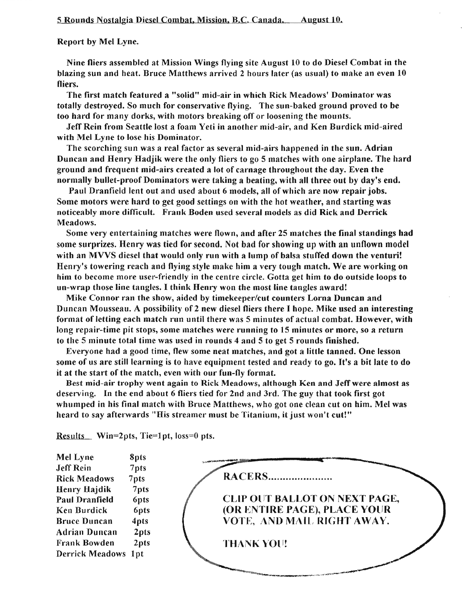#### 5 Rounds Nostalgia Diesel Combat, Mission, B.c. Canada. August 10.

#### Report by Mel Lyne.

Nine fliers assembled at Mission Wings flying site August 10 to do Diesel Combat in the blazing sun and heat. Bruce Matthews arrived 2 hours later (as usual) to make an even 10 fliers.

The first match featured a "solid" mid-air in which Rick Meadows' Dominator was totally destroyed. So much for conservative flying. The sun-baked ground proved to be too hard for many dorks, with motors breaking off or loosening the mounts.

Jeff Rein from Seattle lost a foam Yeti in another mid-air, and Ken Burdick mid-aired with Mel Lyne to lose his Dominator.

The scorching sun was a real factor as several mid-airs happened in the sun. Adrian Duncan and Henry Hadjik were the only fliers to go 5 matches with one airplane. The hard ground and frequent mid-airs created a lot of carnage throughout the day. Even the normally bullet-proof Dominators were taking a beating, with all three out by day's end.

Paul Dranfield lent out and used about 6 models, all of which are now repair jobs. Some motors were hard to get good settings on with the hot weather, and starting was noticeably more difficult. Frank Boden used several models as did Rick and Derrick Meadows.

Some very entertaining matches were flown, and after 25 matches the final standings had some surprizes. Henry was tied for second. Not bad for showing up with an unflown model with an MVVS diesel that would only run with a lump of balsa stuffed down the venturi! Henry's towering reach and flying style make him a very tough match. We are working on him to become more user-friendly in the centre circle. Gotta get him to do outside loops to un-wrap those line tangles. I think Henry won the most line tangles award!

Mike Connor ran the show, aided by timekeeper/cut counters Lorna Duncan and Duncan Mousseau. A possibility of 2 new diesel fliers there I hope. Mike used an interesting format of letting each match run until there was 5 minutes of actual combat. However, with long repair-time pit stops, some matches were running to 15 minutes or more, so a return to the 5 minute total time was used in rounds 4 and 5 to get 5 rounds finished.

Everyone had a good time, flew some neat matches, and got a little tanned. One lesson some of us are still learning is to have equipment tested and ready to go. It's a bit late to do it at the start of the match, even with our fun-fly format.

Best mid-air trophy went again to Rick Meadows, although Ken and JefTwere almost as deserving. In the end about 6 fliers tied for 2nd and 3rd. The guy that took first got whumped in his final match with Bruce Matthews, who got one clean cut on him. Mel was heard to say afterwards "His streamer must be Titanium, it just won't cut!"

Mel Lyne 8pts Jeff Rein 7pts **RACERS......................** Rick Meadows 7pts Henry Hajdik 7pts CLIP OUT BALLOT ON NEXT PAGE, Paul Dranfield 6pts (OR ENTIRE PAGE), PLACE YOlJR Ken Burdick 6pts VOTE, AND MAIL RIGHT AWAY. Bruce Duncan 4pts Adrian Duncan 2pts Frank Bowden 2pts THANK VOll!Derrick Meadows 1pt

Results Win=2pts, Tie=1pt, loss=0 pts.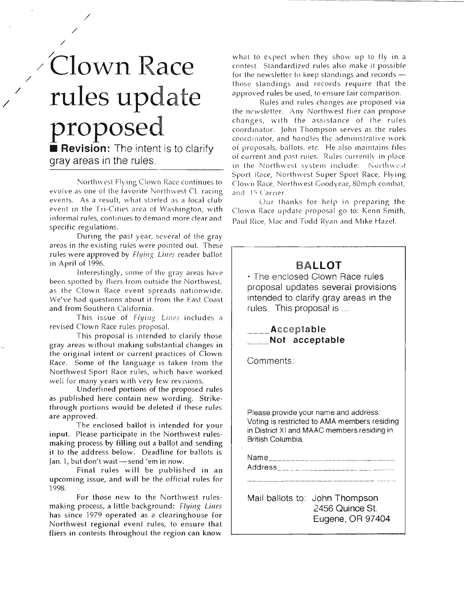# / /Clown **Race** rules update proposed

/

/

/

/

/

/

**•• Revision:** The intent is to clarify gray areas in the rules.

Northwest Flying Clown Race continues to evolve as one of the favorite Northwest CL racing events. As a result, what started as a local club event in the Tri-Cities area of Washington, with informal rules, continues to demand more clear and specific regulations.

During the past year, several of the gray areas in the existing rules were pointed out. These rules were approved by Flying Lines reader ballot in April of 1996.

Interestingly, some of the gray areas have been spotted by fliers from outside the Northwest, as the Clown Race event spreads nationwide. We've had questions about it from the East Coast and from Southern California.

This issue of Flying Lines includes a revised Clown Race rules proposal.

This proposal is intended to clarify those gray areas without making substantial changes in the original intent or current practices of Clown Race. Some of the language is taken from the Northwest Sport Race rules, which have worked well for many years with very few revisions.

Underlined portions of the proposed rules as published here contain new wording. Strikethrough portions would be deleted if these rules are approved.

The enclosed ballot is intended for your input. Please participate in the Northwest rulesmaking process by filling out a ballot and sending it to the address below. Deadline for ballots is Jan. 1, but don't wait - send 'em in now.

Final rules will be published in an upcoming issue, and will be the official rules for 1998.

For those new to the Northwest rulesmaking process, a little background: Flying *Lilles* has since 1979 operated as a clearinghouse for Northwest regional event rules, to ensure that fliers in contests throughout the region can know what to expect when they show up to fly in a contest. Standardized rules also make it possible for the newsletter to keep standings and records  $\rightarrow$ those standings and records require that the approved rules be used, to ensure fair comparison.

Rules and rules changes are proposed via the newsletter. Any Northwest flier can propose changes, with the assistance of the rules coordinator. John Thompson serves as the rules coordinator, and handles the administrative work of proposals, ballots, etc. He also maintains files of current and past rules. Rules currently in place. in the Northwest system include: Northwest Sport Race, Northwest Super Sport Race, Flying Clown Race, Northwest Goodyear, 80mph combat, and .15 Carrier.

Our thanks for help in preparing the Clown Race update proposal go to: Kenn Smith, Paul Rice, Mac and Todd Ryan and Mike Hazel.

#### **BALLOT**

• The enclosed Clown Race rules proposal updates several provisions intended to clarify gray areas in the rules. This proposal is ...

#### . Acceptable Not acceptable

Comments:

Please provide your name and address. Voting is restricted to AMA members residing in District XI and MAAC members residing in British Columbia.

Name\_\_\_\_\_\_\_\_\_\_\_\_\_\_\_\_\_\_\_\_\_ Address \_\_\_\_\_\_\_\_\_\_\_\_\_\_\_\_\_\_\_\_\_\_\_

Mail ballots to: John Thompson 2456 Quince 8t. Eugene, OR 97404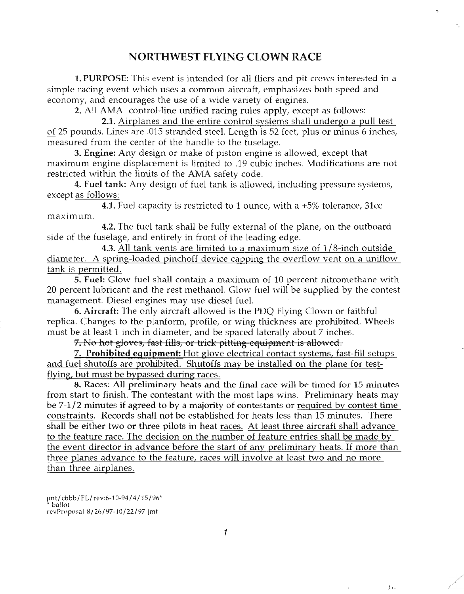#### NORTHWEST FLYING CLOWN RACE

1. PURPOSE: This event is intended for all fliers and pit crews interested in a simple racing event which uses a common aircraft, emphasizes both speed and economy, and encourages the use of a wide variety of engines.

2. All AMA control-line unified racing rules apply, except as follows:

2.1. Airplanes and the entire control systems shall undergo a pull test of 25 pounds. Lines are .015 stranded steel. Length is 52 feet, plus or minus 6 inches, measured from the center of the handle to the fuselage.

3. Engine: Any design or make of piston engine is allowed, except that maximum engine displacement is limited to .19 cubic inches. Modifications are not restricted within the limits of the AMA safety code.

4. Fuel tank: Any design of fuel tank is allowed, including pressure systems, except as follows:

**4.1.** Fuel capacity is restricted to 1 ounce, with a  $+5\%$  tolerance, 31cc maximum.

4.2. The fuel tank shall be fully external of the plane, on the outboard side of the fuselage, and entirely in front of the leading edge.

4.3. All tank vents are limited to a maximum size of  $1/8$ -inch outside diameter. A spring-loaded pinchoff device capping the overflow vent on a uniflow tank is permitted.

5. Fuel: Glow fuel shall contain a maximum of 10 percent nitromethane with 20 percent lubricant and the rest methanol. Glow fuel will be supplied by the contest management. Diesel engines may use diesel fuel.

6. Aircraft: The only aircraft allowed is the PDQ Flying Clown or faithful replica. Changes to the planform, profile, or wing thickness are prohibited. Wheels must be at least 1 inch in diameter, and be spaced laterally about 7 inches.

7. No hot gloves, fast fills, or trick pitting equipment is allowed.

7. Prohibited equipment: Hot glove electrical contact systems, fast-fill setups and fuel shutoffs are prohibited. Shutoffs may be installed on the plane for testflying, but must be bypassed during races.

8. Races: All preliminary heats and the final race will be timed for 15 minutes from start to finish. The contestant with the most laps wins. Preliminary heats may be  $7-1/2$  minutes if agreed to by a majority of contestants or required by contest time constraints. Records shall not be established for heats less than 15 minutes. There shall be either two or three pilots in heat races. At least three aircraft shall advance to the feature race. The decision on the number of feature entries shall be made by the event director in advance before the start of any preliminary heats. If more than three planes advance to the feature, races will involve at least two and no more than three airplanes.

 $\mathbf{I}(\mathbf{I}) = \mathbf{I}(\mathbf{I})$ 

jmt/ cbbb / FL/ rev:6-10-94 / 4 /15/96\* \* ballot revProposal 8/26/97-10/22/97 jmt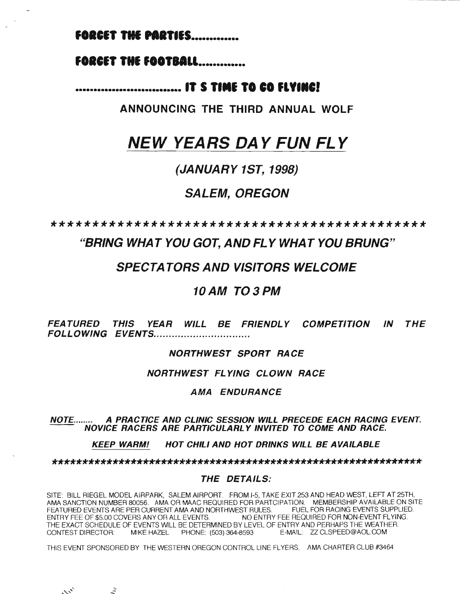#### **FORCET THE PARTIES..............**

#### **FORCET THE FOOTBALL.............**

#### **••.•.••••.•••••••.••••••••••• IT 5 T....I TO CO IFL".IIt:J**

**ANNOUNCING THE THIRD ANNUAL WOLF**

- ----------

# **NEW YEARS DA Y FUN FL Y**

#### **(JANUARY 1ST, 1998)**

#### **SALEM, OREGON**

**\*\*\*\*\*\*\*\*\*\*\*\*\*\*\*\*\*\*\*\*\*\*\*\*\*\*\*\*\*\*\*\*\*\*\*\*\*\*\*\*\*\*\*\*\***

#### **"BRING WHA T YOU GOT, AND FLYWHA T YOU BRUNG"**

#### **SPECTATORS AND VISITORS WELCOME**

#### **10AM T03PM**

**FEATURED THIS YEAR WILL BE FRIENDLY COMPETITION IN THE FOLLOWING EVENTS................................** 

#### **NORTHWEST SPORT RACE**

**NORTHWEST FLYING CLOWN RACE**

#### **AMA ENDURANCE**

#### NOTE........ **A PRACTICE AND CLINIC SESSION WILL PRECEDE EACH RACING EVENT. NOVICE RACERS ARE PARTICULARL Y INVITED TO COME AND RACE.**

**KEEP WARM! HOT CHILI AND HOT DRINKS WILL BE AVAILABLE**

**\*\*\*\*\*\*\*\*\*\*\*\*\*\*\*\*\*\*\*\*\*\*\*\*\*\*\*\*\*\*\*\*\*\*\*\*\*\*\*\*\*\*\*\*\*\*\*\*\*\*\*\*\*\*\*\*\*\*\*\*\***

#### **THE DETAILS:**

SITE: BILL RIEGEL MODEL AIRPARK, SALEM AIRPORT. FROM 1-5, TAKE EXIT 253 AND HEAD WEST, LEFT AT 25TH. AMA SANCTION NUMBER 80056. AMA OR MAAC REQUIRED FOR PARTCIPATION. MEMBERSHIP AVAILABLE ON SITE<br>FEATURED EVENTS ARE PER CURRENT AMA AND NORTHWEST RULES. FUEL FOR RACING EVENTS SUPPLIED. FEATURED EVENTS ARE PER CURRENT AMA AND NORTHWEST RULES. ENTRY FEE OF \$5.00 COVERS ANY OR ALL EVENTS. NO ENTRY FEE REQUIRED FOR NON-EVENT FLYING. THE EXACT SCHEDULE OF EVENTS WILL BE DETERMINED BY LEVEL OF ENTRY AND PERHAPS THE WEATHER. CONTEST DIRECTOR: MIKE HAZEL PHONE: (503) 364-8593 E-MAIL: ZZCLSPEED@AOL.COM

THIS EVENT SPONSORED BY THE WESTERN OREGON CONTROL LINE FLYERS, AMA CHARTER CLUB #3464

 $\mathcal{L}^{(1)}$